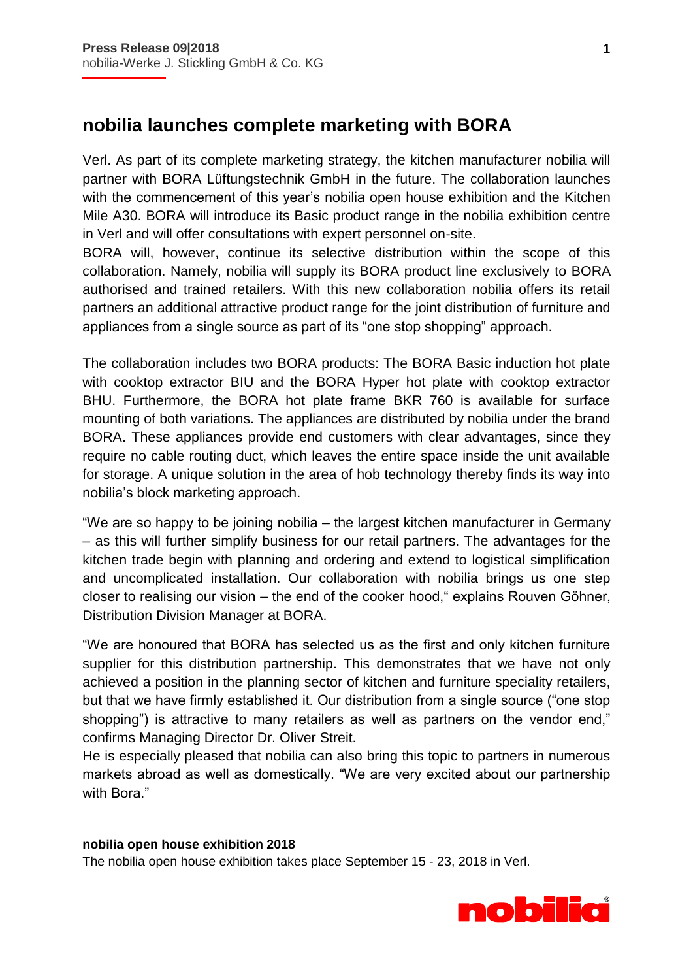## **nobilia launches complete marketing with BORA**

Verl. As part of its complete marketing strategy, the kitchen manufacturer nobilia will partner with BORA Lüftungstechnik GmbH in the future. The collaboration launches with the commencement of this year's nobilia open house exhibition and the Kitchen Mile A30. BORA will introduce its Basic product range in the nobilia exhibition centre in Verl and will offer consultations with expert personnel on-site.

BORA will, however, continue its selective distribution within the scope of this collaboration. Namely, nobilia will supply its BORA product line exclusively to BORA authorised and trained retailers. With this new collaboration nobilia offers its retail partners an additional attractive product range for the joint distribution of furniture and appliances from a single source as part of its "one stop shopping" approach.

The collaboration includes two BORA products: The BORA Basic induction hot plate with cooktop extractor BIU and the BORA Hyper hot plate with cooktop extractor BHU. Furthermore, the BORA hot plate frame BKR 760 is available for surface mounting of both variations. The appliances are distributed by nobilia under the brand BORA. These appliances provide end customers with clear advantages, since they require no cable routing duct, which leaves the entire space inside the unit available for storage. A unique solution in the area of hob technology thereby finds its way into nobilia's block marketing approach.

"We are so happy to be joining nobilia – the largest kitchen manufacturer in Germany – as this will further simplify business for our retail partners. The advantages for the kitchen trade begin with planning and ordering and extend to logistical simplification and uncomplicated installation. Our collaboration with nobilia brings us one step closer to realising our vision – the end of the cooker hood," explains Rouven Göhner, Distribution Division Manager at BORA.

"We are honoured that BORA has selected us as the first and only kitchen furniture supplier for this distribution partnership. This demonstrates that we have not only achieved a position in the planning sector of kitchen and furniture speciality retailers, but that we have firmly established it. Our distribution from a single source ("one stop shopping") is attractive to many retailers as well as partners on the vendor end," confirms Managing Director Dr. Oliver Streit.

He is especially pleased that nobilia can also bring this topic to partners in numerous markets abroad as well as domestically. "We are very excited about our partnership with Bora."

## **nobilia open house exhibition 2018**

The nobilia open house exhibition takes place September 15 - 23, 2018 in Verl.